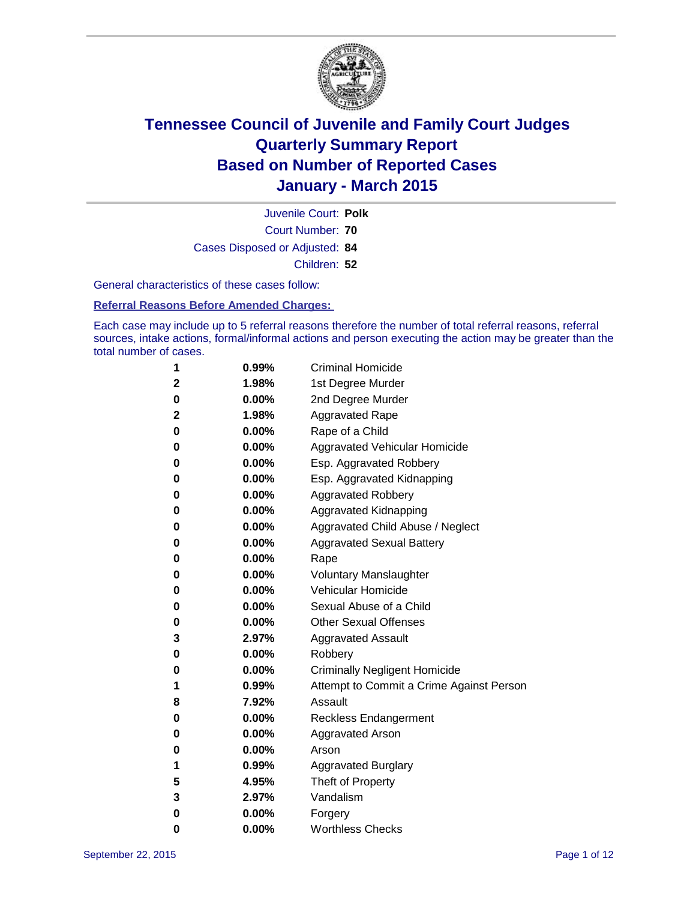

Court Number: **70** Juvenile Court: **Polk** Cases Disposed or Adjusted: **84** Children: **52**

General characteristics of these cases follow:

**Referral Reasons Before Amended Charges:** 

Each case may include up to 5 referral reasons therefore the number of total referral reasons, referral sources, intake actions, formal/informal actions and person executing the action may be greater than the total number of cases.

| 1           | 0.99%    | <b>Criminal Homicide</b>                 |
|-------------|----------|------------------------------------------|
| $\mathbf 2$ | 1.98%    | 1st Degree Murder                        |
| $\bf{0}$    | $0.00\%$ | 2nd Degree Murder                        |
| 2           | 1.98%    | <b>Aggravated Rape</b>                   |
| 0           | $0.00\%$ | Rape of a Child                          |
| 0           | $0.00\%$ | Aggravated Vehicular Homicide            |
| 0           | 0.00%    | Esp. Aggravated Robbery                  |
| 0           | $0.00\%$ | Esp. Aggravated Kidnapping               |
| 0           | $0.00\%$ | <b>Aggravated Robbery</b>                |
| 0           | $0.00\%$ | Aggravated Kidnapping                    |
| 0           | 0.00%    | Aggravated Child Abuse / Neglect         |
| $\bf{0}$    | 0.00%    | <b>Aggravated Sexual Battery</b>         |
| $\bf{0}$    | $0.00\%$ | Rape                                     |
| 0           | $0.00\%$ | <b>Voluntary Manslaughter</b>            |
| 0           | $0.00\%$ | <b>Vehicular Homicide</b>                |
| 0           | $0.00\%$ | Sexual Abuse of a Child                  |
| $\bf{0}$    | $0.00\%$ | <b>Other Sexual Offenses</b>             |
| 3           | 2.97%    | <b>Aggravated Assault</b>                |
| 0           | $0.00\%$ | Robbery                                  |
| 0           | $0.00\%$ | <b>Criminally Negligent Homicide</b>     |
| 1           | 0.99%    | Attempt to Commit a Crime Against Person |
| 8           | 7.92%    | Assault                                  |
| 0           | $0.00\%$ | <b>Reckless Endangerment</b>             |
| 0           | $0.00\%$ | <b>Aggravated Arson</b>                  |
| $\bf{0}$    | $0.00\%$ | Arson                                    |
| 1           | 0.99%    | <b>Aggravated Burglary</b>               |
| 5           | 4.95%    | Theft of Property                        |
| 3           | 2.97%    | Vandalism                                |
| $\bf{0}$    | 0.00%    | Forgery                                  |
| 0           | 0.00%    | <b>Worthless Checks</b>                  |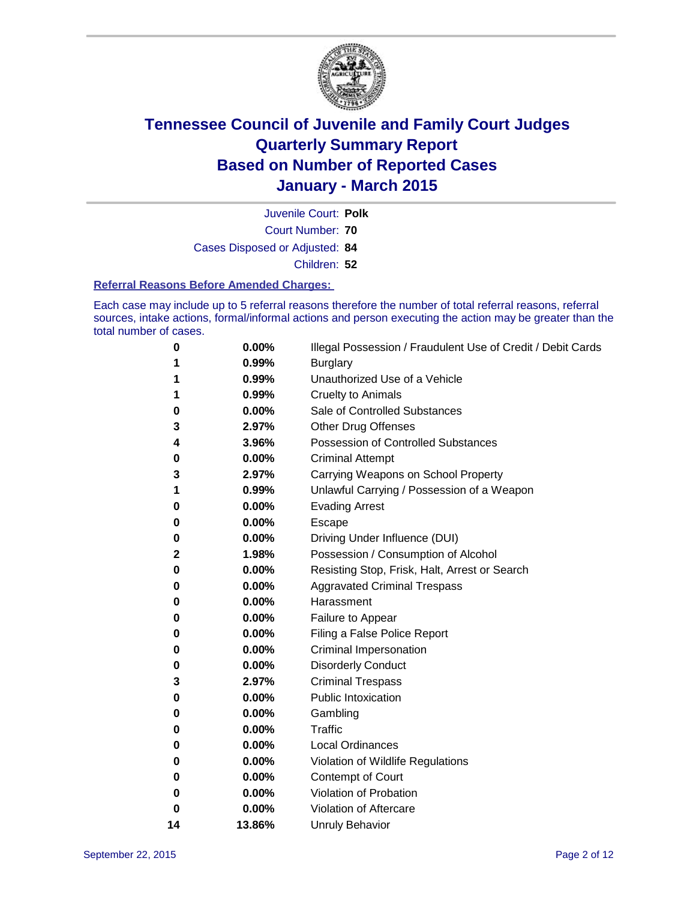

Court Number: **70** Juvenile Court: **Polk** Cases Disposed or Adjusted: **84** Children: **52**

#### **Referral Reasons Before Amended Charges:**

Each case may include up to 5 referral reasons therefore the number of total referral reasons, referral sources, intake actions, formal/informal actions and person executing the action may be greater than the total number of cases.

| 0  | 0.00%  | Illegal Possession / Fraudulent Use of Credit / Debit Cards |
|----|--------|-------------------------------------------------------------|
| 1  | 0.99%  | <b>Burglary</b>                                             |
| 1  | 0.99%  | Unauthorized Use of a Vehicle                               |
| 1  | 0.99%  | <b>Cruelty to Animals</b>                                   |
| 0  | 0.00%  | Sale of Controlled Substances                               |
| 3  | 2.97%  | Other Drug Offenses                                         |
| 4  | 3.96%  | <b>Possession of Controlled Substances</b>                  |
| 0  | 0.00%  | <b>Criminal Attempt</b>                                     |
| 3  | 2.97%  | Carrying Weapons on School Property                         |
| 1  | 0.99%  | Unlawful Carrying / Possession of a Weapon                  |
| 0  | 0.00%  | <b>Evading Arrest</b>                                       |
| 0  | 0.00%  | Escape                                                      |
| 0  | 0.00%  | Driving Under Influence (DUI)                               |
| 2  | 1.98%  | Possession / Consumption of Alcohol                         |
| 0  | 0.00%  | Resisting Stop, Frisk, Halt, Arrest or Search               |
| 0  | 0.00%  | <b>Aggravated Criminal Trespass</b>                         |
| 0  | 0.00%  | Harassment                                                  |
| 0  | 0.00%  | Failure to Appear                                           |
| 0  | 0.00%  | Filing a False Police Report                                |
| 0  | 0.00%  | <b>Criminal Impersonation</b>                               |
| 0  | 0.00%  | <b>Disorderly Conduct</b>                                   |
| 3  | 2.97%  | <b>Criminal Trespass</b>                                    |
| 0  | 0.00%  | <b>Public Intoxication</b>                                  |
| 0  | 0.00%  | Gambling                                                    |
| 0  | 0.00%  | <b>Traffic</b>                                              |
| 0  | 0.00%  | <b>Local Ordinances</b>                                     |
| 0  | 0.00%  | Violation of Wildlife Regulations                           |
| 0  | 0.00%  | Contempt of Court                                           |
| 0  | 0.00%  | Violation of Probation                                      |
| 0  | 0.00%  | Violation of Aftercare                                      |
| 14 | 13.86% | <b>Unruly Behavior</b>                                      |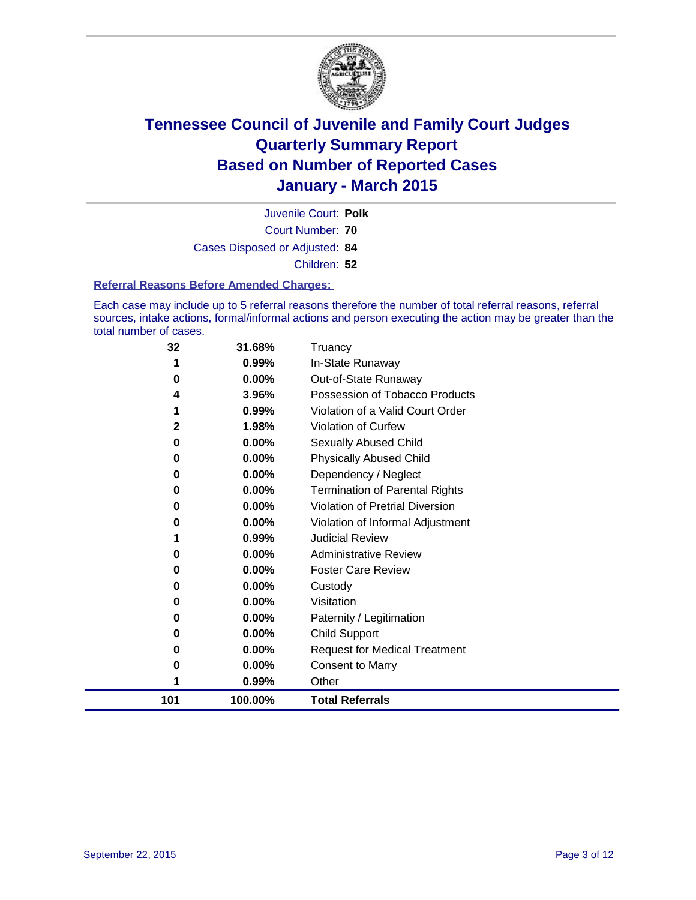

Court Number: **70** Juvenile Court: **Polk** Cases Disposed or Adjusted: **84** Children: **52**

#### **Referral Reasons Before Amended Charges:**

Each case may include up to 5 referral reasons therefore the number of total referral reasons, referral sources, intake actions, formal/informal actions and person executing the action may be greater than the total number of cases.

| 32  | 31.68%  | Truancy                                |
|-----|---------|----------------------------------------|
|     | 0.99%   | In-State Runaway                       |
| 0   | 0.00%   | Out-of-State Runaway                   |
| 4   | 3.96%   | Possession of Tobacco Products         |
|     | 0.99%   | Violation of a Valid Court Order       |
| 2   | 1.98%   | Violation of Curfew                    |
| 0   | 0.00%   | Sexually Abused Child                  |
| 0   | 0.00%   | <b>Physically Abused Child</b>         |
| 0   | 0.00%   | Dependency / Neglect                   |
| 0   | 0.00%   | <b>Termination of Parental Rights</b>  |
| 0   | 0.00%   | <b>Violation of Pretrial Diversion</b> |
| 0   | 0.00%   | Violation of Informal Adjustment       |
|     | 0.99%   | <b>Judicial Review</b>                 |
| 0   | 0.00%   | <b>Administrative Review</b>           |
| 0   | 0.00%   | <b>Foster Care Review</b>              |
| 0   | 0.00%   | Custody                                |
| 0   | 0.00%   | Visitation                             |
| 0   | 0.00%   | Paternity / Legitimation               |
| 0   | 0.00%   | Child Support                          |
| 0   | 0.00%   | <b>Request for Medical Treatment</b>   |
| 0   | 0.00%   | <b>Consent to Marry</b>                |
|     | 0.99%   | Other                                  |
| 101 | 100.00% | <b>Total Referrals</b>                 |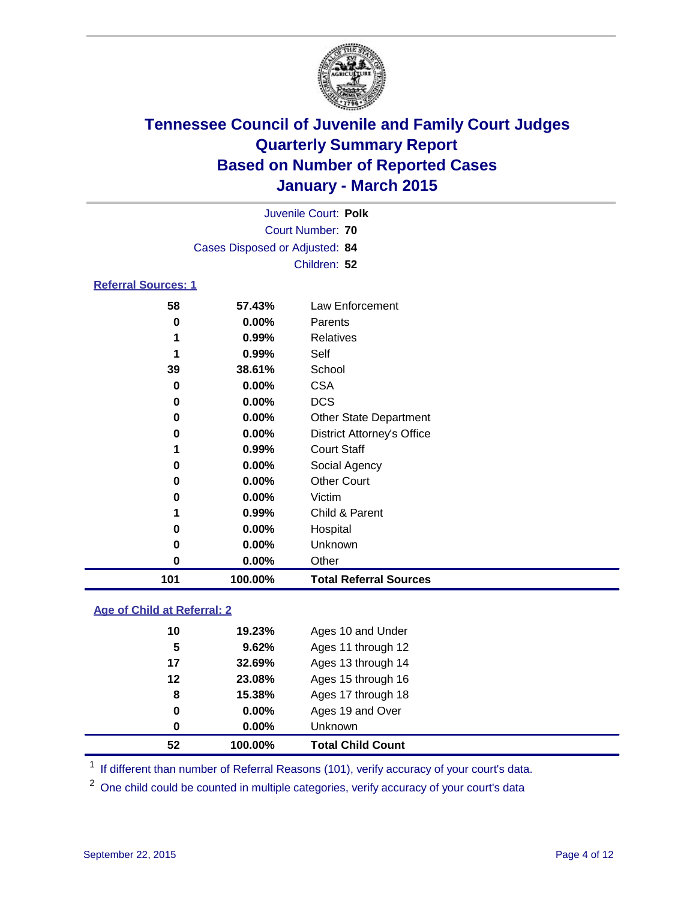

| Juvenile Court: Polk           |  |
|--------------------------------|--|
| Court Number: 70               |  |
| Cases Disposed or Adjusted: 84 |  |
| Children: 52                   |  |
| <b>Referral Sources: 1</b>     |  |

| 101 | 100.00%  | <b>Total Referral Sources</b>     |
|-----|----------|-----------------------------------|
| 0   | 0.00%    | Other                             |
| 0   | 0.00%    | Unknown                           |
| 0   | $0.00\%$ | Hospital                          |
|     | 0.99%    | Child & Parent                    |
| 0   | 0.00%    | Victim                            |
| 0   | $0.00\%$ | <b>Other Court</b>                |
| 0   | 0.00%    | Social Agency                     |
|     | 0.99%    | <b>Court Staff</b>                |
| 0   | 0.00%    | <b>District Attorney's Office</b> |
| 0   | $0.00\%$ | <b>Other State Department</b>     |
| 0   | 0.00%    | <b>DCS</b>                        |
| 0   | 0.00%    | <b>CSA</b>                        |
| 39  | 38.61%   | School                            |
|     | 0.99%    | Self                              |
|     | 0.99%    | Relatives                         |
| 0   | 0.00%    | Parents                           |
| 58  | 57.43%   | Law Enforcement                   |
|     |          |                                   |

#### **Age of Child at Referral: 2**

| 52 | 100.00%  | <b>Total Child Count</b> |
|----|----------|--------------------------|
| 0  | $0.00\%$ | Unknown                  |
| 0  | $0.00\%$ | Ages 19 and Over         |
| 8  | 15.38%   | Ages 17 through 18       |
| 12 | 23.08%   | Ages 15 through 16       |
| 17 | 32.69%   | Ages 13 through 14       |
| 5  | 9.62%    | Ages 11 through 12       |
| 10 | 19.23%   | Ages 10 and Under        |

<sup>1</sup> If different than number of Referral Reasons (101), verify accuracy of your court's data.

One child could be counted in multiple categories, verify accuracy of your court's data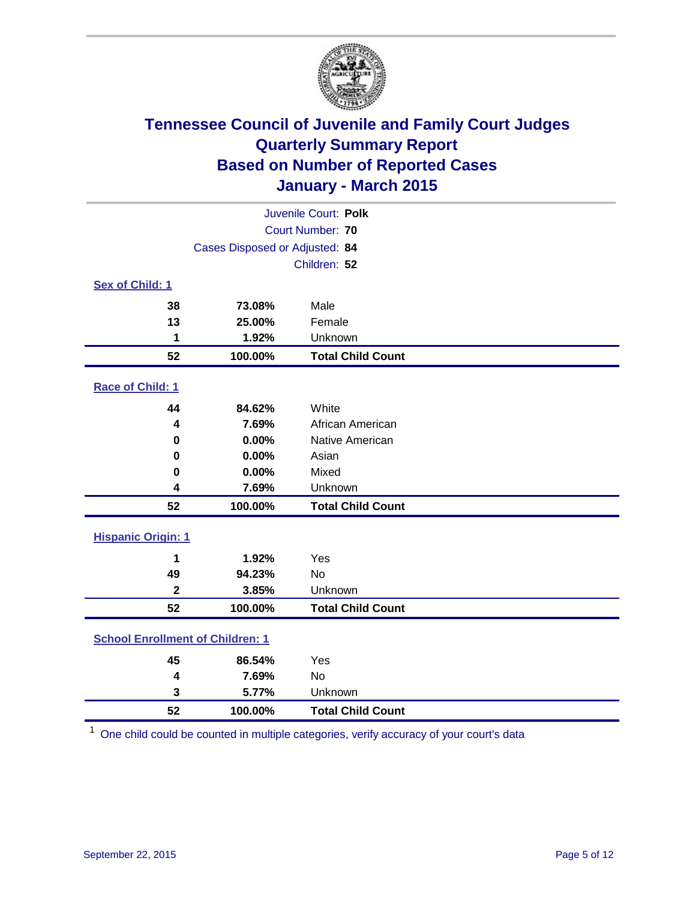

| Juvenile Court: Polk                    |                                |                          |  |  |  |
|-----------------------------------------|--------------------------------|--------------------------|--|--|--|
|                                         | Court Number: 70               |                          |  |  |  |
|                                         | Cases Disposed or Adjusted: 84 |                          |  |  |  |
|                                         |                                | Children: 52             |  |  |  |
| <b>Sex of Child: 1</b>                  |                                |                          |  |  |  |
| 38                                      | 73.08%                         | Male                     |  |  |  |
| 13                                      | 25.00%                         | Female                   |  |  |  |
| 1                                       | 1.92%                          | Unknown                  |  |  |  |
| 52                                      | 100.00%                        | <b>Total Child Count</b> |  |  |  |
| Race of Child: 1                        |                                |                          |  |  |  |
| 44                                      | 84.62%                         | White                    |  |  |  |
| 4                                       | 7.69%                          | African American         |  |  |  |
| $\bf{0}$                                | 0.00%                          | Native American          |  |  |  |
| 0                                       | 0.00%                          | Asian                    |  |  |  |
| 0                                       | 0.00%                          | Mixed                    |  |  |  |
| 4                                       | 7.69%                          | Unknown                  |  |  |  |
| 52                                      | 100.00%                        | <b>Total Child Count</b> |  |  |  |
| <b>Hispanic Origin: 1</b>               |                                |                          |  |  |  |
| 1                                       | 1.92%                          | Yes                      |  |  |  |
| 49                                      | 94.23%                         | No                       |  |  |  |
| $\overline{\mathbf{2}}$                 | 3.85%                          | Unknown                  |  |  |  |
| 52                                      | 100.00%                        | <b>Total Child Count</b> |  |  |  |
| <b>School Enrollment of Children: 1</b> |                                |                          |  |  |  |
| 45                                      | 86.54%                         | Yes                      |  |  |  |
| 4                                       | 7.69%                          | No                       |  |  |  |
| 3                                       | 5.77%                          | Unknown                  |  |  |  |
| 52                                      | 100.00%                        | <b>Total Child Count</b> |  |  |  |

One child could be counted in multiple categories, verify accuracy of your court's data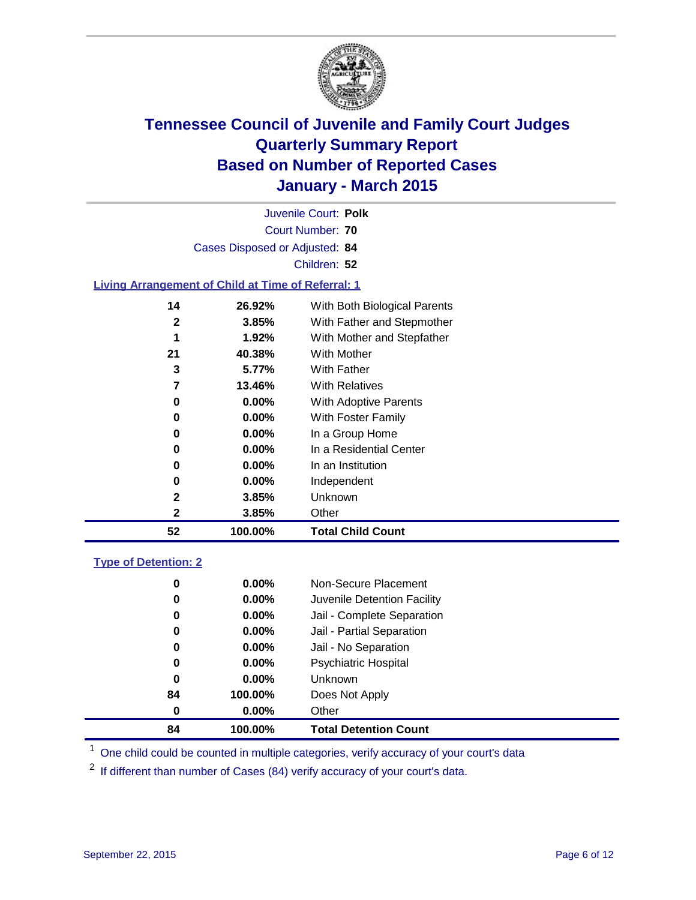

| Juvenile Court: Polk                                      |                                |                              |  |  |  |  |  |  |
|-----------------------------------------------------------|--------------------------------|------------------------------|--|--|--|--|--|--|
|                                                           |                                | Court Number: 70             |  |  |  |  |  |  |
|                                                           | Cases Disposed or Adjusted: 84 |                              |  |  |  |  |  |  |
| Children: 52                                              |                                |                              |  |  |  |  |  |  |
| <b>Living Arrangement of Child at Time of Referral: 1</b> |                                |                              |  |  |  |  |  |  |
| 14                                                        | 26.92%                         | With Both Biological Parents |  |  |  |  |  |  |
| $\overline{\mathbf{2}}$                                   | 3.85%                          | With Father and Stepmother   |  |  |  |  |  |  |
| 1                                                         | 1.92%                          | With Mother and Stepfather   |  |  |  |  |  |  |
| 21                                                        | 40.38%                         | <b>With Mother</b>           |  |  |  |  |  |  |
| 3                                                         | 5.77%                          | With Father                  |  |  |  |  |  |  |
| 7                                                         | 13.46%                         | <b>With Relatives</b>        |  |  |  |  |  |  |
| 0.00%<br>With Adoptive Parents<br>0                       |                                |                              |  |  |  |  |  |  |
| $0.00\%$<br>With Foster Family<br>0                       |                                |                              |  |  |  |  |  |  |
| $0.00\%$<br>In a Group Home<br>0                          |                                |                              |  |  |  |  |  |  |
| $0.00\%$<br>In a Residential Center<br>0                  |                                |                              |  |  |  |  |  |  |
| $0.00\%$<br>In an Institution<br>0                        |                                |                              |  |  |  |  |  |  |
| 0                                                         | 0.00%                          | Independent                  |  |  |  |  |  |  |
| 2                                                         | 3.85%                          | Unknown                      |  |  |  |  |  |  |
| $\mathbf 2$                                               | 3.85%                          | Other                        |  |  |  |  |  |  |
| 52                                                        | 100.00%                        | <b>Total Child Count</b>     |  |  |  |  |  |  |
| <b>Type of Detention: 2</b>                               |                                |                              |  |  |  |  |  |  |
| 0                                                         | 0.00%                          | Non-Secure Placement         |  |  |  |  |  |  |
| 0                                                         | $0.00\%$                       | Juvenile Detention Facility  |  |  |  |  |  |  |
| 0.00%<br>Jail - Complete Separation<br>0                  |                                |                              |  |  |  |  |  |  |

 **100.00% Total Detention Count** <sup>1</sup> One child could be counted in multiple categories, verify accuracy of your court's data

 **0.00%** Jail - Partial Separation **0.00%** Jail - No Separation **0.00%** Psychiatric Hospital

If different than number of Cases (84) verify accuracy of your court's data.

 **0.00%** Unknown **100.00%** Does Not Apply

**0.00%** Other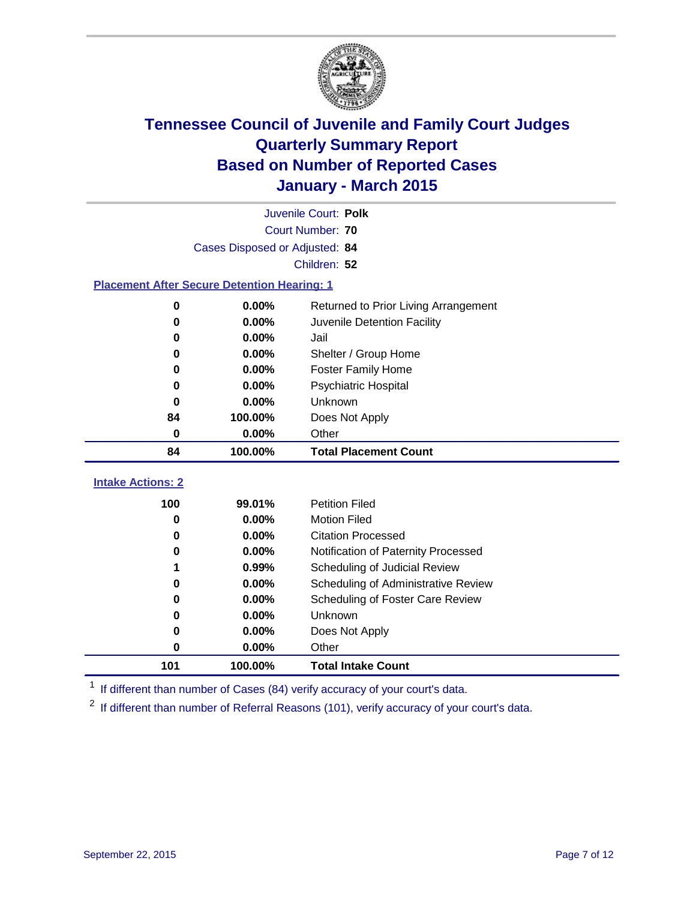

| Juvenile Court: Polk                               |                                                               |                                      |  |  |  |  |  |  |
|----------------------------------------------------|---------------------------------------------------------------|--------------------------------------|--|--|--|--|--|--|
|                                                    | <b>Court Number: 70</b>                                       |                                      |  |  |  |  |  |  |
|                                                    | Cases Disposed or Adjusted: 84                                |                                      |  |  |  |  |  |  |
|                                                    | Children: 52                                                  |                                      |  |  |  |  |  |  |
| <b>Placement After Secure Detention Hearing: 1</b> |                                                               |                                      |  |  |  |  |  |  |
| 0                                                  | 0.00%                                                         | Returned to Prior Living Arrangement |  |  |  |  |  |  |
| 0                                                  | 0.00%                                                         | Juvenile Detention Facility          |  |  |  |  |  |  |
| 0                                                  | 0.00%                                                         | Jail                                 |  |  |  |  |  |  |
| 0                                                  | 0.00%                                                         | Shelter / Group Home                 |  |  |  |  |  |  |
| 0                                                  | 0.00%                                                         | <b>Foster Family Home</b>            |  |  |  |  |  |  |
| 0                                                  | 0.00%<br><b>Psychiatric Hospital</b><br>0.00%<br>Unknown<br>0 |                                      |  |  |  |  |  |  |
|                                                    |                                                               |                                      |  |  |  |  |  |  |
| 84                                                 | 100.00%<br>Does Not Apply                                     |                                      |  |  |  |  |  |  |
| $\bf{0}$                                           | 0.00%<br>Other                                                |                                      |  |  |  |  |  |  |
| 84                                                 | 100.00%                                                       | <b>Total Placement Count</b>         |  |  |  |  |  |  |
| <b>Intake Actions: 2</b>                           |                                                               |                                      |  |  |  |  |  |  |
| 100                                                | 99.01%                                                        | <b>Petition Filed</b>                |  |  |  |  |  |  |
| 0                                                  | 0.00%                                                         | <b>Motion Filed</b>                  |  |  |  |  |  |  |
| 0                                                  | 0.00%                                                         | <b>Citation Processed</b>            |  |  |  |  |  |  |
| 0                                                  | 0.00%                                                         | Notification of Paternity Processed  |  |  |  |  |  |  |
|                                                    | 0.99%<br>Scheduling of Judicial Review                        |                                      |  |  |  |  |  |  |
| 0                                                  | 0.00%                                                         | Scheduling of Administrative Review  |  |  |  |  |  |  |
| 0                                                  | 0.00%                                                         | Scheduling of Foster Care Review     |  |  |  |  |  |  |
| 0                                                  | 0.00%<br><b>Unknown</b><br>0.00%<br>0<br>Does Not Apply       |                                      |  |  |  |  |  |  |
|                                                    |                                                               |                                      |  |  |  |  |  |  |

<sup>1</sup> If different than number of Cases (84) verify accuracy of your court's data.

**100.00% Total Intake Count**

**0.00%** Other

<sup>2</sup> If different than number of Referral Reasons (101), verify accuracy of your court's data.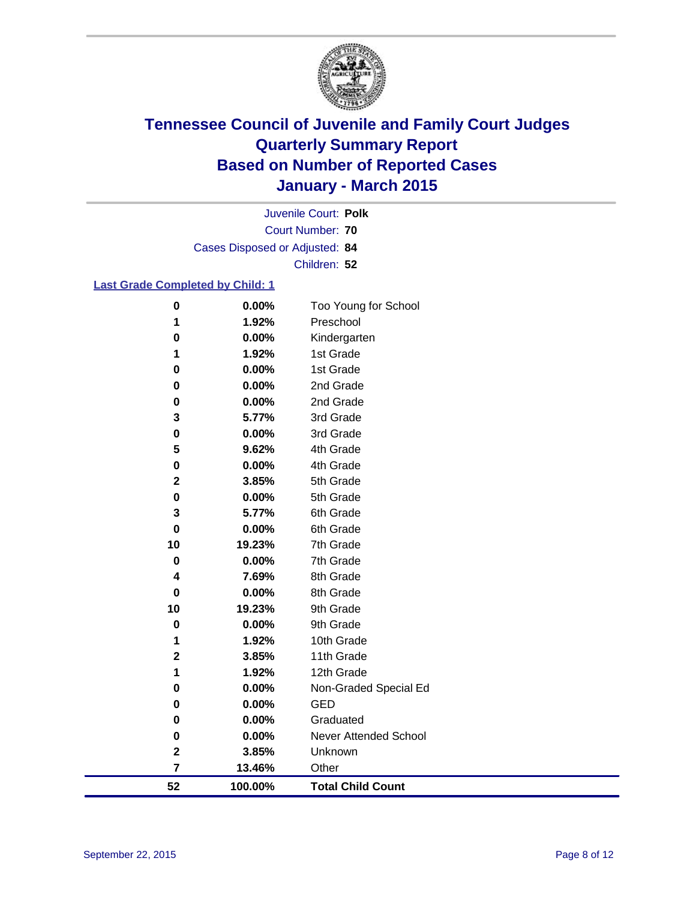

Court Number: **70** Juvenile Court: **Polk** Cases Disposed or Adjusted: **84** Children: **52**

#### **Last Grade Completed by Child: 1**

| 52             | 100.00%        | <b>Total Child Count</b>     |
|----------------|----------------|------------------------------|
| $\overline{7}$ | 13.46%         | Other                        |
| $\mathbf 2$    | 3.85%          | Unknown                      |
| $\pmb{0}$      | 0.00%          | <b>Never Attended School</b> |
| 0              | 0.00%          | Graduated                    |
| 0              | 0.00%          | <b>GED</b>                   |
| $\bf{0}$       | 0.00%          | Non-Graded Special Ed        |
| 1              | 1.92%          | 12th Grade                   |
| $\mathbf 2$    | 3.85%          | 11th Grade                   |
| 1              | 1.92%          | 10th Grade                   |
| $\bf{0}$       | 0.00%          | 9th Grade                    |
| 10             | 19.23%         | 9th Grade                    |
| 0              | 0.00%          | 8th Grade                    |
| 4              | 7.69%          | 8th Grade                    |
| 0              | 0.00%          | 7th Grade                    |
| 10             | 19.23%         | 7th Grade                    |
| 0              | 0.00%          | 6th Grade                    |
| 3              | 5.77%          | 6th Grade                    |
| $\bf{0}$       | 0.00%          | 5th Grade                    |
| $\mathbf 2$    | 3.85%          | 5th Grade                    |
| $\bf{0}$       | 0.00%          | 4th Grade                    |
| 5              | 9.62%          | 4th Grade                    |
| $\bf{0}$       | 0.00%          | 3rd Grade                    |
| 0<br>3         | 0.00%<br>5.77% | 3rd Grade                    |
| 0              | 0.00%          | 2nd Grade                    |
| 0              | $0.00\%$       | 1st Grade<br>2nd Grade       |
| 1              | 1.92%          | 1st Grade                    |
| $\bf{0}$       | 0.00%          | Kindergarten                 |
| 1              | 1.92%          | Preschool                    |
| $\bf{0}$       | 0.00%          | Too Young for School         |
|                |                |                              |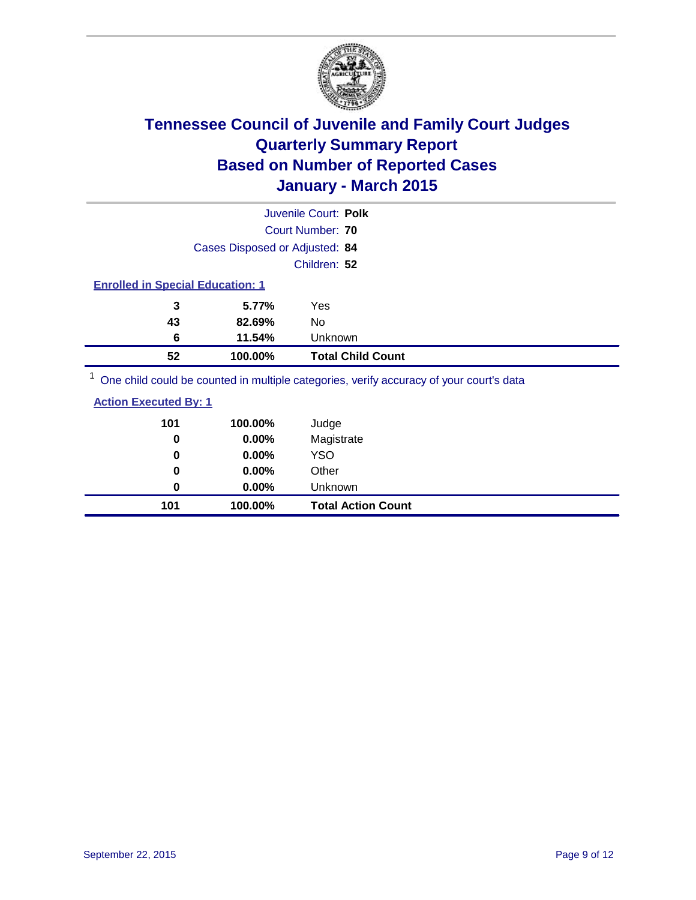

|                                                                                                                          |                                | Juvenile Court: Polk                                                                                            |  |
|--------------------------------------------------------------------------------------------------------------------------|--------------------------------|-----------------------------------------------------------------------------------------------------------------|--|
|                                                                                                                          |                                | Court Number: 70                                                                                                |  |
|                                                                                                                          | Cases Disposed or Adjusted: 84 |                                                                                                                 |  |
|                                                                                                                          |                                | Children: 52                                                                                                    |  |
| <b>Enrolled in Special Education: 1</b>                                                                                  |                                |                                                                                                                 |  |
| 3                                                                                                                        | 5.77%                          | Yes                                                                                                             |  |
| 43                                                                                                                       | 82.69%                         | No                                                                                                              |  |
| 6                                                                                                                        | 11.54%                         | Unknown                                                                                                         |  |
| 52                                                                                                                       | 100.00%                        | <b>Total Child Count</b>                                                                                        |  |
| $1 -$<br>the contract of the contract of the contract of the contract of the contract of the contract of the contract of |                                | the contract of the contract of the contract of the contract of the contract of the contract of the contract of |  |

<sup>1</sup> One child could be counted in multiple categories, verify accuracy of your court's data

| 101 | 100.00%  | Judge                     |
|-----|----------|---------------------------|
| 0   | 0.00%    | Magistrate                |
| 0   | 0.00%    | <b>YSO</b>                |
| 0   | $0.00\%$ | Other                     |
| 0   | $0.00\%$ | Unknown                   |
| 101 | 100.00%  | <b>Total Action Count</b> |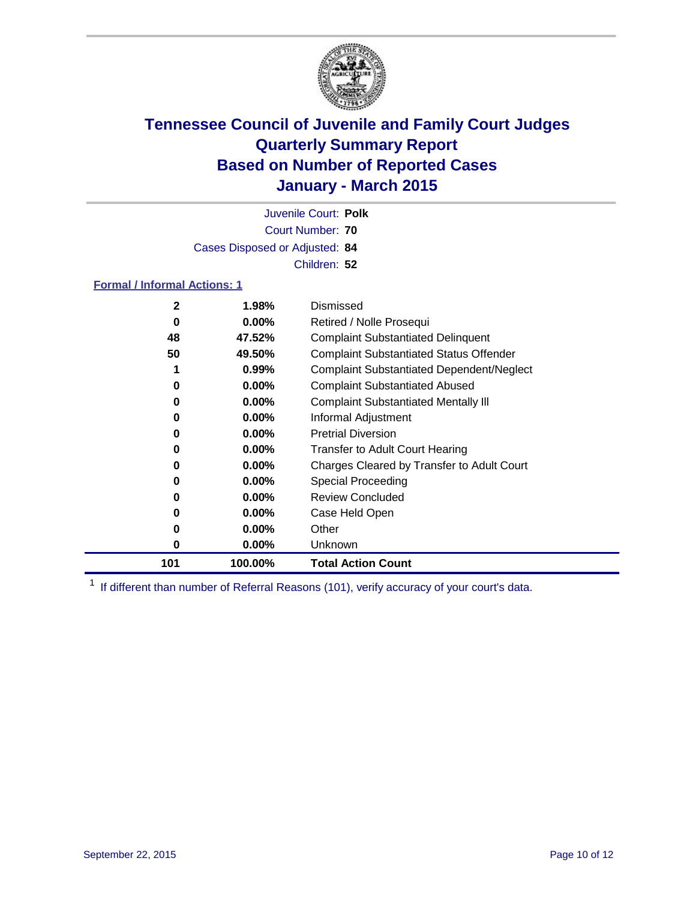

Court Number: **70** Juvenile Court: **Polk** Cases Disposed or Adjusted: **84** Children: **52**

#### **Formal / Informal Actions: 1**

| 2   | 1.98%    | Dismissed                                        |
|-----|----------|--------------------------------------------------|
| 0   | $0.00\%$ | Retired / Nolle Prosequi                         |
| 48  | 47.52%   | <b>Complaint Substantiated Delinquent</b>        |
| 50  | 49.50%   | <b>Complaint Substantiated Status Offender</b>   |
| 1   | $0.99\%$ | <b>Complaint Substantiated Dependent/Neglect</b> |
| 0   | $0.00\%$ | <b>Complaint Substantiated Abused</b>            |
| 0   | $0.00\%$ | <b>Complaint Substantiated Mentally III</b>      |
| 0   | $0.00\%$ | Informal Adjustment                              |
| 0   | $0.00\%$ | <b>Pretrial Diversion</b>                        |
| 0   | $0.00\%$ | <b>Transfer to Adult Court Hearing</b>           |
| 0   | $0.00\%$ | Charges Cleared by Transfer to Adult Court       |
| 0   | $0.00\%$ | Special Proceeding                               |
| 0   | $0.00\%$ | <b>Review Concluded</b>                          |
| 0   | $0.00\%$ | Case Held Open                                   |
| 0   | $0.00\%$ | Other                                            |
| 0   | $0.00\%$ | Unknown                                          |
| 101 | 100.00%  | <b>Total Action Count</b>                        |

<sup>1</sup> If different than number of Referral Reasons (101), verify accuracy of your court's data.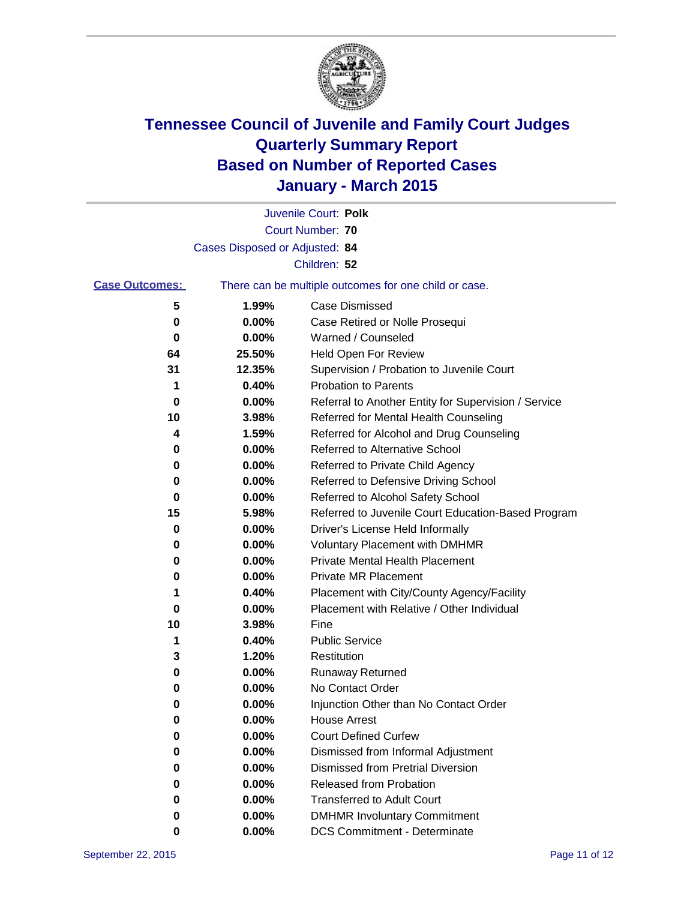

|                       |                                | Juvenile Court: Polk                                  |
|-----------------------|--------------------------------|-------------------------------------------------------|
|                       |                                | <b>Court Number: 70</b>                               |
|                       | Cases Disposed or Adjusted: 84 |                                                       |
|                       |                                | Children: 52                                          |
| <b>Case Outcomes:</b> |                                | There can be multiple outcomes for one child or case. |
| 5                     | 1.99%                          | <b>Case Dismissed</b>                                 |
| 0                     | 0.00%                          | Case Retired or Nolle Prosequi                        |
| 0                     | 0.00%                          | Warned / Counseled                                    |
| 64                    | 25.50%                         | <b>Held Open For Review</b>                           |
| 31                    | 12.35%                         | Supervision / Probation to Juvenile Court             |
| 1                     | 0.40%                          | <b>Probation to Parents</b>                           |
| 0                     | 0.00%                          | Referral to Another Entity for Supervision / Service  |
| 10                    | 3.98%                          | Referred for Mental Health Counseling                 |
| 4                     | 1.59%                          | Referred for Alcohol and Drug Counseling              |
| 0                     | 0.00%                          | Referred to Alternative School                        |
| 0                     | 0.00%                          | Referred to Private Child Agency                      |
| 0                     | 0.00%                          | Referred to Defensive Driving School                  |
| 0                     | 0.00%                          | Referred to Alcohol Safety School                     |
| 15                    | 5.98%                          | Referred to Juvenile Court Education-Based Program    |
| 0                     | 0.00%                          | Driver's License Held Informally                      |
| 0                     | 0.00%                          | <b>Voluntary Placement with DMHMR</b>                 |
| 0                     | 0.00%                          | <b>Private Mental Health Placement</b>                |
| 0                     | 0.00%                          | <b>Private MR Placement</b>                           |
| 1                     | 0.40%                          | Placement with City/County Agency/Facility            |
| 0                     | 0.00%                          | Placement with Relative / Other Individual            |
| 10                    | 3.98%                          | Fine                                                  |
| 1                     | 0.40%                          | <b>Public Service</b>                                 |
| 3                     | 1.20%                          | Restitution                                           |
| 0                     | 0.00%                          | <b>Runaway Returned</b>                               |
| 0                     | 0.00%                          | No Contact Order                                      |
| 0                     | 0.00%                          | Injunction Other than No Contact Order                |
| 0                     | $0.00\%$                       | <b>House Arrest</b>                                   |
| 0                     | 0.00%                          | <b>Court Defined Curfew</b>                           |
| 0                     | 0.00%                          | Dismissed from Informal Adjustment                    |
| 0                     | 0.00%                          | <b>Dismissed from Pretrial Diversion</b>              |
| 0                     | 0.00%                          | Released from Probation                               |
| 0                     | 0.00%                          | <b>Transferred to Adult Court</b>                     |
| 0                     | $0.00\%$                       | <b>DMHMR Involuntary Commitment</b>                   |
| 0                     | $0.00\%$                       | <b>DCS Commitment - Determinate</b>                   |